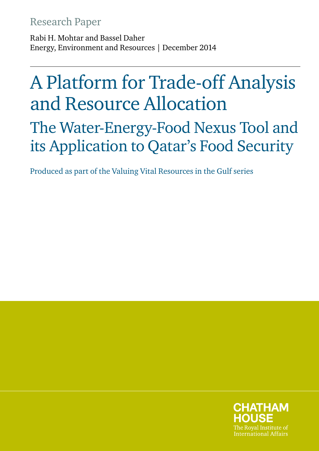# Research Paper

Rabi H. Mohtar and Bassel Daher Energy, Environment and Resources | December 2014

# A Platform for Trade-off Analysis and Resource Allocation

The Water-Energy-Food Nexus Tool and its Application to Qatar's Food Security

Produced as part of the Valuing Vital Resources in the Gulf series

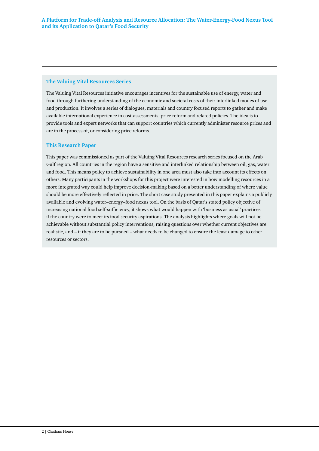#### **The Valuing Vital Resources Series**

The Valuing Vital Resources initiative encourages incentives for the sustainable use of energy, water and food through furthering understanding of the economic and societal costs of their interlinked modes of use and production. It involves a series of dialogues, materials and country focused reports to gather and make available international experience in cost-assessments, price reform and related policies. The idea is to provide tools and expert networks that can support countries which currently administer resource prices and are in the process of, or considering price reforms.

#### **This Research Paper**

This paper was commissioned as part of the Valuing Vital Resources research series focused on the Arab Gulf region. All countries in the region have a sensitive and interlinked relationship between oil, gas, water and food. This means policy to achieve sustainability in one area must also take into account its effects on others. Many participants in the workshops for this project were interested in how modelling resources in a more integrated way could help improve decision-making based on a better understanding of where value should be more effectively reflected in price. The short case study presented in this paper explains a publicly available and evolving water–energy–food nexus tool. On the basis of Qatar's stated policy objective of increasing national food self-sufficiency, it shows what would happen with 'business as usual' practices if the country were to meet its food security aspirations. The analysis highlights where goals will not be achievable without substantial policy interventions, raising questions over whether current objectives are realistic, and – if they are to be pursued – what needs to be changed to ensure the least damage to other resources or sectors.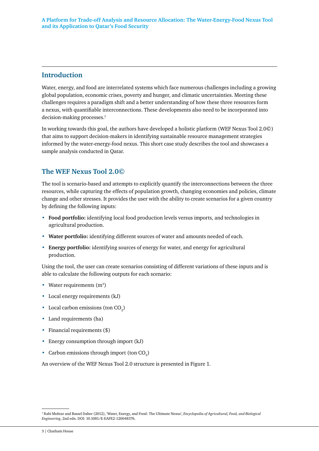#### **Introduction**

Water, energy, and food are interrelated systems which face numerous challenges including a growing global population, economic crises, poverty and hunger, and climatic uncertainties. Meeting these challenges requires a paradigm shift and a better understanding of how these three resources form a nexus, with quantifiable interconnections. These developments also need to be incorporated into decision-making processes.<sup>1</sup>

In working towards this goal, the authors have developed a holistic platform (WEF Nexus Tool 2.0©) that aims to support decision-makers in identifying sustainable resource management strategies informed by the water-energy-food nexus. This short case study describes the tool and showcases a sample analysis conducted in Qatar.

## **The WEF Nexus Tool 2.0©**

The tool is scenario-based and attempts to explicitly quantify the interconnections between the three resources, while capturing the effects of population growth, changing economies and policies, climate change and other stresses. It provides the user with the ability to create scenarios for a given country by defining the following inputs:

- **• Food portfolio:** identifying local food production levels versus imports, and technologies in agricultural production.
- **• Water portfolio:** identifying different sources of water and amounts needed of each.
- **• Energy portfolio:** identifying sources of energy for water, and energy for agricultural production.

Using the tool, the user can create scenarios consisting of different variations of these inputs and is able to calculate the following outputs for each scenario:

- Water requirements (m<sup>3</sup>)
- **•** Local energy requirements (kJ)
- Local carbon emissions (ton CO<sub>2</sub>)
- **•** Land requirements (ha)
- **•** Financial requirements (\$)
- **•** Energy consumption through import (kJ)
- Carbon emissions through import (ton CO<sub>2</sub>)

An overview of the WEF Nexus Tool 2.0 structure is presented in Figure 1.

<sup>&</sup>lt;sup>1</sup> Rabi Mohtar and Bassel Daher (2012), 'Water, Energy, and Food: The Ultimate Nexus', *Encyclopedia of Agricultural, Food, and Biological Engineering*, 2nd edn. DOI: 10.1081/E-EAFE2-120048376.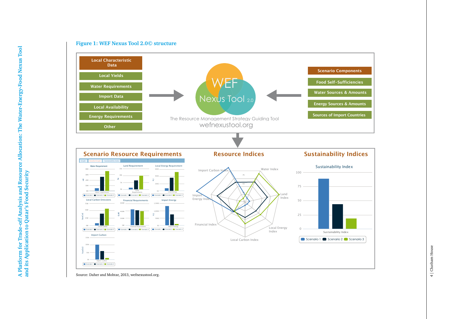

Source: Daher and Mohtar, 2013, wefnexustool.org.

**Figure 1: WEF Nexus Tool 2.0© structure**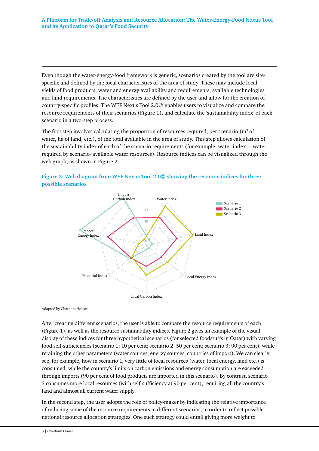Even though the water-energy-food framework is generic, scenarios created by the tool are sitespecific and defined by the local characteristics of the area of study. These may include local yields of food products, water and energy availability and requirements, available technologies and land requirements. The characteristics are defined by the user and allow for the creation of country-specific profiles. The WEF Nexus Tool 2.0© enables users to visualize and compare the resource requirements of their scenarios (Figure 1), and calculate the 'sustainability index' of each scenario in a two-step process.

The first step involves calculating the proportion of resources required, per scenario ( $m^3$  of water, ha of land, etc.), of the total available in the area of study. This step allows calculation of the sustainability index of each of the scenario requirements (for example, water index  $=$  water required by scenario/available water resources). Resource indices can be visualized through the web graph, as shown in Figure 2.





Adapted by Chatham House.

After creating different scenarios, the user is able to compare the resource requirements of each (Figure 1), as well as the resource sustainability indices. Figure 2 gives an example of the visual display of these indices for three hypothetical scenarios (for selected foodstuffs in Qatar) with varying food self-sufficiencies (scenario 1: 10 per cent; scenario 2: 50 per cent; scenario 3: 90 per cent), while retaining the other parameters (water sources, energy sources, countries of import). We can clearly see, for example, how in scenario 1, very little of local resources (water, local energy, land etc.) is consumed, while the country's limits on carbon emissions and energy consumption are exceeded through imports (90 per cent of food products are imported in this scenario). By contrast, scenario 3 consumes more local resources (with self-sufficiency at 90 per cent), requiring all the country's land and almost all current water supply.

In the second step, the user adopts the role of policy-maker by indicating the relative importance of reducing some of the resource requirements in different scenarios, in order to reflect possible national resource allocation strategies. One such strategy could entail giving more weight to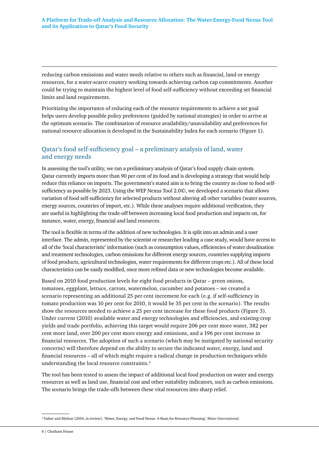reducing carbon emissions and water needs relative to others such as financial, land or energy resources, for a water-scarce country working towards achieving carbon cap commitments. Another could be trying to maintain the highest level of food self-sufficiency without exceeding set financial limits and land requirements.

Prioritizing the importance of reducing each of the resource requirements to achieve a set goal helps users develop possible policy preferences (guided by national strategies) in order to arrive at the optimum scenario. The combination of resource availability/unavailability and preferences for national resource allocation is developed in the Sustainability Index for each scenario (Figure 1).

#### Qatar's food self-sufficiency goal – a preliminary analysis of land, water and energy needs

In assessing the tool's utility, we ran a preliminary analysis of Qatar's food supply chain system. Qatar currently imports more than 90 per cent of its food and is developing a strategy that would help reduce this reliance on imports. The government's stated aim is to bring the country as close to food selfsufficiency as possible by 2023. Using the WEF Nexus Tool 2.0©, we developed a scenario that allows variation of food self-sufficiency for selected products without altering all other variables (water sources, energy sources, countries of import, etc.). While these analyses require additional verification, they are useful in highlighting the trade-off between increasing local food production and impacts on, for instance, water, energy, financial and land resources.

The tool is flexible in terms of the addition of new technologies. It is split into an admin and a user interface. The admin, represented by the scientist or researcher leading a case study, would have access to all of the 'local characteristic' information (such as consumption values, efficiencies of water desalination and treatment technologies, carbon emissions for different energy sources, countries supplying imports of food products, agricultural technologies, water requirements for different crops etc.). All of these local characteristics can be easily modified, once more refined data or new technologies become available.

Based on 2010 food production levels for eight food products in Qatar – green onions, tomatoes, eggplant, lettuce, carrots, watermelon, cucumber and potatoes – we created a scenario representing an additional 25 per cent increment for each (e.g. if self-sufficiency in tomato production was 10 per cent for 2010, it would be 35 per cent in the scenario). The results show the resources needed to achieve a 25 per cent increase for these food products (Figure 3). Under current (2010) available water and energy technologies and efficiencies, and existing crop yields and trade portfolio, achieving this target would require 206 per cent more water, 382 per cent more land, over 200 per cent more energy and emissions, and a 196 per cent increase in financial resources. The adoption of such a scenario (which may be instigated by national security concerns) will therefore depend on the ability to secure the indicated water, energy, land and financial resources – all of which might require a radical change in production techniques while understanding the local resource constraints.2

The tool has been tested to assess the impact of additional local food production on water and energy resources as well as land use, financial cost and other suitability indicators, such as carbon emissions. The scenario brings the trade-offs between these vital resources into sharp relief.

6 | Chatham House

<sup>2</sup> Daher and Mohtar (2014, in review), 'Water, Energy, and Food Nexus: A Basis for Resource Planning', *Water International*.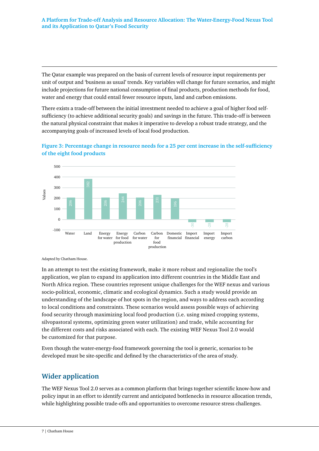The Qatar example was prepared on the basis of current levels of resource input requirements per unit of output and 'business as usual' trends. Key variables will change for future scenarios, and might include projections for future national consumption of final products, production methods for food, water and energy that could entail fewer resource inputs, land and carbon emissions.

There exists a trade-off between the initial investment needed to achieve a goal of higher food selfsufficiency (to achieve additional security goals) and savings in the future. This trade-off is between the natural physical constraint that makes it imperative to develop a robust trade strategy, and the accompanying goals of increased levels of local food production.



**Figure 3: Percentage change in resource needs for a 25 per cent increase in the self-sufficiency of the eight food products** 

Adapted by Chatham House.

In an attempt to test the existing framework, make it more robust and regionalize the tool's application, we plan to expand its application into different countries in the Middle East and North Africa region. These countries represent unique challenges for the WEF nexus and various socio-political, economic, climatic and ecological dynamics. Such a study would provide an understanding of the landscape of hot spots in the region, and ways to address each according to local conditions and constraints. These scenarios would assess possible ways of achieving food security through maximizing local food production (i.e. using mixed cropping systems, silvopastoral systems, optimizing green water utilization) and trade, while accounting for the different costs and risks associated with each. The existing WEF Nexus Tool 2.0 would be customized for that purpose.

Even though the water-energy-food framework governing the tool is generic, scenarios to be developed must be site-specific and defined by the characteristics of the area of study.

## **Wider application**

The WEF Nexus Tool 2.0 serves as a common platform that brings together scientific know-how and policy input in an effort to identify current and anticipated bottlenecks in resource allocation trends, while highlighting possible trade-offs and opportunities to overcome resource stress challenges.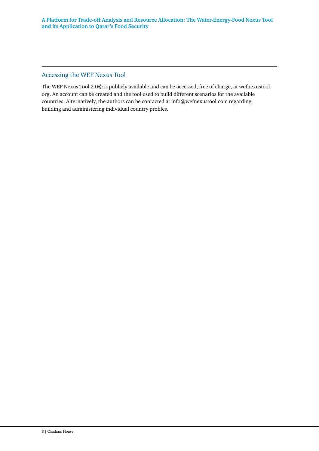#### Accessing the WEF Nexus Tool

The WEF Nexus Tool 2.0© is publicly available and can be accessed, free of charge, at wefnexustool. org. An account can be created and the tool used to build different scenarios for the available countries. Alternatively, the authors can be contacted at [info@wefnexustool.com](mailto:info@wefnexustool.com) regarding building and administering individual country profiles.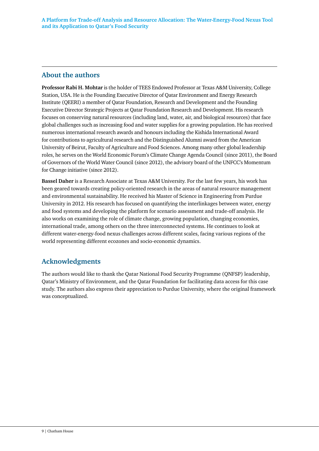## **About the authors**

**Professor Rabi H. Mohtar** is the holder of TEES Endowed Professor at Texas A&M University, College Station, USA. He is the Founding Executive Director of Qatar Environment and Energy Research Institute (QEERI) a member of Qatar Foundation, Research and Development and the Founding Executive Director Strategic Projects at Qatar Foundation Research and Development. His research focuses on conserving natural resources (including land, water, air, and biological resources) that face global challenges such as increasing food and water supplies for a growing population. He has received numerous international research awards and honours including the Kishida International Award for contributions to agricultural research and the Distinguished Alumni award from the American University of Beirut, Faculty of Agriculture and Food Sciences. Among many other global leadership roles, he serves on the World Economic Forum's Climate Change Agenda Council (since 2011), the Board of Governors of the World Water Council (since 2012), the advisory board of the UNFCC's Momentum for Change initiative (since 2012).

**Bassel Daher** is a Research Associate at Texas A&M University. For the last few years, his work has been geared towards creating policy-oriented research in the areas of natural resource management and environmental sustainability. He received his Master of Science in Engineering from Purdue University in 2012. His research has focused on quantifying the interlinkages between water, energy and food systems and developing the platform for scenario assessment and trade-off analysis. He also works on examining the role of climate change, growing population, changing economies, international trade, among others on the three interconnected systems. He continues to look at different water-energy-food nexus challenges across different scales, facing various regions of the world representing different ecozones and socio-economic dynamics.

## **Acknowledgments**

The authors would like to thank the Qatar National Food Security Programme (QNFSP) leadership, Qatar's Ministry of Environment, and the Qatar Foundation for facilitating data access for this case study. The authors also express their appreciation to Purdue University, where the original framework was conceptualized.